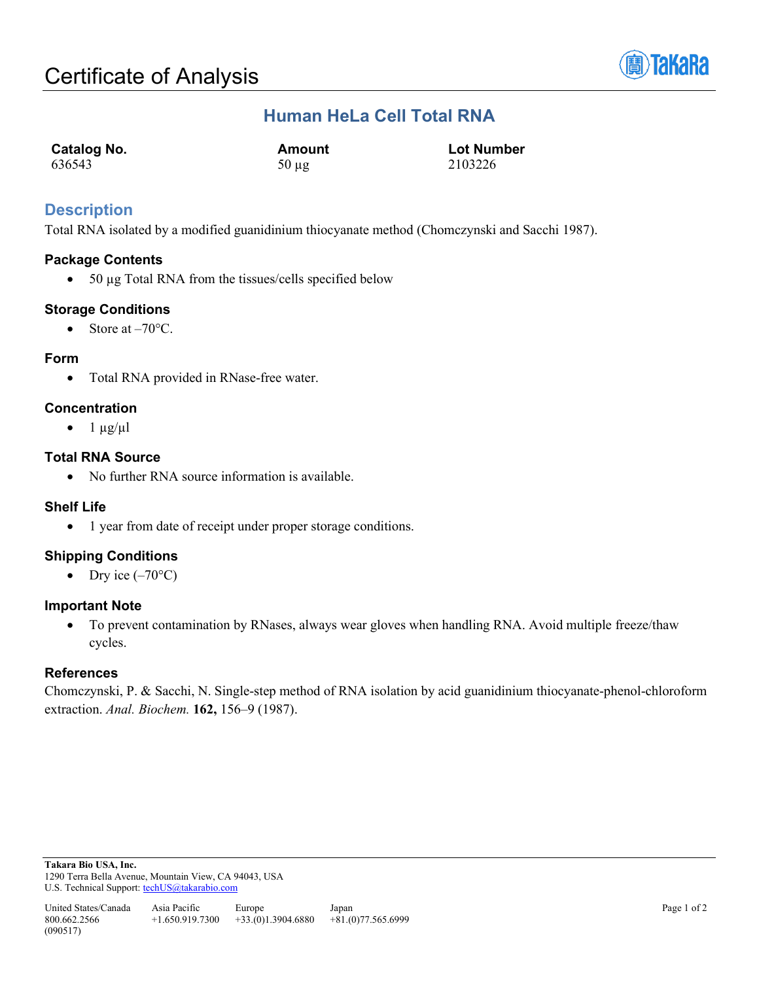

## **Human HeLa Cell Total RNA**

| <b>Catalog No.</b> | Amount     | <b>Lot Number</b> |
|--------------------|------------|-------------------|
| 636543             | $50 \mu g$ | 2103226           |

## **Description**

Total RNA isolated by a modified guanidinium thiocyanate method (Chomczynski and Sacchi 1987).

## **Package Contents**

• 50 µg Total RNA from the tissues/cells specified below

## **Storage Conditions**

• Store at  $-70^{\circ}$ C.

## **Form**

• Total RNA provided in RNase-free water.

## **Concentration**

 $\bullet$  1  $\mu$ g/ $\mu$ l

## **Total RNA Source**

• No further RNA source information is available.

## **Shelf Life**

• 1 year from date of receipt under proper storage conditions.

## **Shipping Conditions**

• Dry ice  $(-70^{\circ}C)$ 

## **Important Note**

• To prevent contamination by RNases, always wear gloves when handling RNA. Avoid multiple freeze/thaw cycles.

## **References**

Chomczynski, P. & Sacchi, N. Single-step method of RNA isolation by acid guanidinium thiocyanate-phenol-chloroform extraction. *Anal. Biochem.* **162,** 156–9 (1987).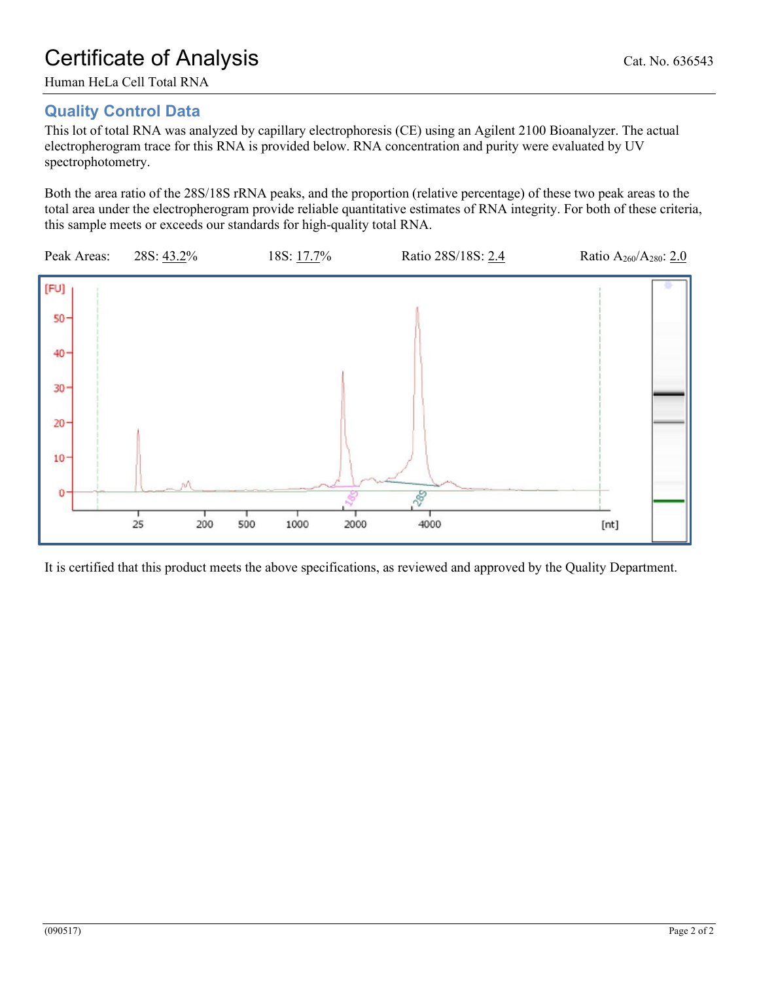# **Quality Control Data**

This lot of total RNA was analyzed by capillary electrophoresis (CE) using an Agilent 2100 Bioanalyzer. The actual electropherogram trace for this RNA is provided below. RNA concentration and purity were evaluated by UV spectrophotometry.

Both the area ratio of the 28S/18S rRNA peaks, and the proportion (relative percentage) of these two peak areas to the total area under the electropherogram provide reliable quantitative estimates of RNA integrity. For both of these criteria, this sample meets or exceeds our standards for high-quality total RNA.



It is certified that this product meets the above specifications, as reviewed and approved by the Quality Department.